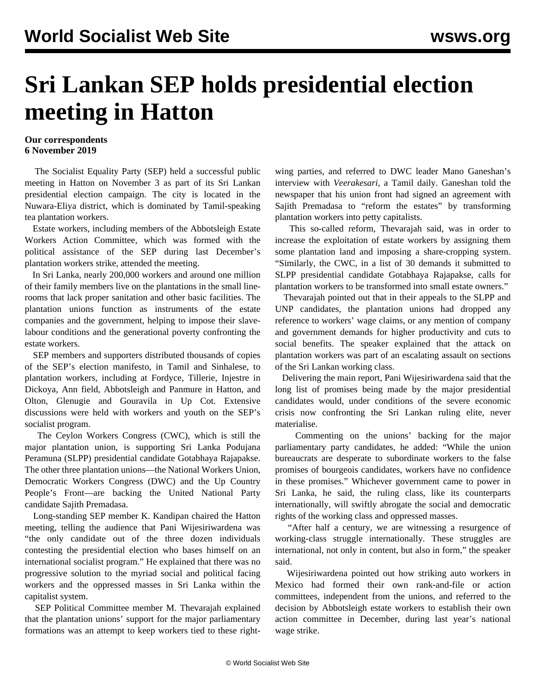## **Sri Lankan SEP holds presidential election meeting in Hatton**

## **Our correspondents 6 November 2019**

 The Socialist Equality Party (SEP) held a successful public meeting in Hatton on November 3 as part of its Sri Lankan presidential election campaign. The city is located in the Nuwara-Eliya district, which is dominated by Tamil-speaking tea plantation workers.

 Estate workers, including members of the Abbotsleigh Estate Workers Action Committee, which was formed with the political assistance of the SEP during last December's plantation workers strike, attended the meeting.

 In Sri Lanka, nearly 200,000 workers and around one million of their family members live on the plantations in the small linerooms that lack proper sanitation and other basic facilities. The plantation unions function as instruments of the estate companies and the government, helping to impose their slavelabour conditions and the generational poverty confronting the estate workers.

 SEP members and supporters distributed thousands of copies of the SEP's election manifesto, in Tamil and Sinhalese, to plantation workers, including at Fordyce, Tillerie, Injestre in Dickoya, Ann field, Abbotsleigh and Panmure in Hatton, and Olton, Glenugie and Gouravila in Up Cot. Extensive discussions were held with workers and youth on the SEP's socialist program.

 The Ceylon Workers Congress (CWC), which is still the major plantation union, is supporting Sri Lanka Podujana Peramuna (SLPP) presidential candidate Gotabhaya Rajapakse. The other three plantation unions—the National Workers Union, Democratic Workers Congress (DWC) and the Up Country People's Front—are backing the United National Party candidate Sajith Premadasa.

 Long-standing SEP member K. Kandipan chaired the Hatton meeting, telling the audience that Pani Wijesiriwardena was "the only candidate out of the three dozen individuals contesting the presidential election who bases himself on an international socialist program." He explained that there was no progressive solution to the myriad social and political facing workers and the oppressed masses in Sri Lanka within the capitalist system.

 SEP Political Committee member M. Thevarajah explained that the plantation unions' support for the major parliamentary formations was an attempt to keep workers tied to these rightwing parties, and referred to DWC leader Mano Ganeshan's interview with *Veerakesari*, a Tamil daily. Ganeshan told the newspaper that his union front had signed an agreement with Sajith Premadasa to "reform the estates" by transforming plantation workers into petty capitalists.

 This so-called reform, Thevarajah said, was in order to increase the exploitation of estate workers by assigning them some plantation land and imposing a share-cropping system. "Similarly, the CWC, in a list of 30 demands it submitted to SLPP presidential candidate Gotabhaya Rajapakse, calls for plantation workers to be transformed into small estate owners."

 Thevarajah pointed out that in their appeals to the SLPP and UNP candidates, the plantation unions had dropped any reference to workers' wage claims, or any mention of company and government demands for higher productivity and cuts to social benefits. The speaker explained that the attack on plantation workers was part of an escalating assault on sections of the Sri Lankan working class.

 Delivering the main report, Pani Wijesiriwardena said that the long list of promises being made by the major presidential candidates would, under conditions of the severe economic crisis now confronting the Sri Lankan ruling elite, never materialise.

 Commenting on the unions' backing for the major parliamentary party candidates, he added: "While the union bureaucrats are desperate to subordinate workers to the false promises of bourgeois candidates, workers have no confidence in these promises." Whichever government came to power in Sri Lanka, he said, the ruling class, like its counterparts internationally, will swiftly abrogate the social and democratic rights of the working class and oppressed masses.

 "After half a century, we are witnessing a resurgence of working-class struggle internationally. These struggles are international, not only in content, but also in form," the speaker said.

 Wijesiriwardena pointed out how striking auto workers in Mexico had formed their own rank-and-file or action committees, independent from the unions, and referred to the decision by Abbotsleigh estate workers to establish their own action committee in December, during last year's national wage strike.